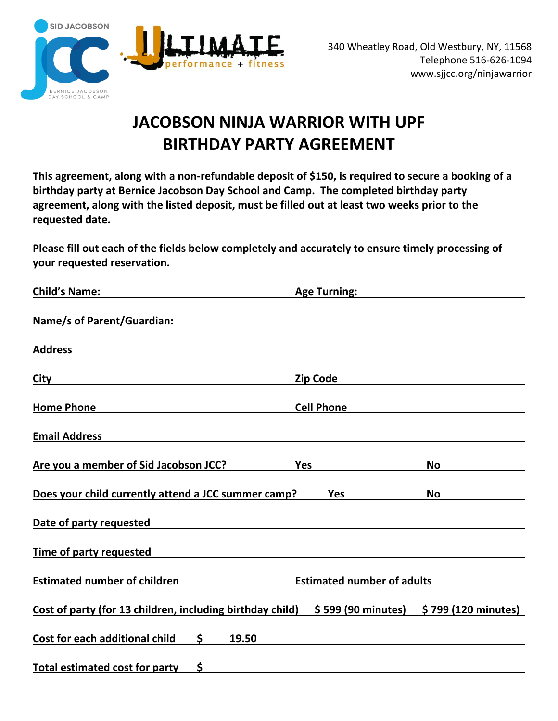

# **JACOBSON NINJA WARRIOR WITH UPF BIRTHDAY PARTY AGREEMENT**

**This agreement, along with a non-refundable deposit of \$150, is required to secure a booking of a birthday party at Bernice Jacobson Day School and Camp. The completed birthday party agreement, along with the listed deposit, must be filled out at least two weeks prior to the requested date.**

**Please fill out each of the fields below completely and accurately to ensure timely processing of your requested reservation.**

| <b>Age Turning:</b>                                                                                                    |                                            |
|------------------------------------------------------------------------------------------------------------------------|--------------------------------------------|
|                                                                                                                        |                                            |
|                                                                                                                        |                                            |
| Zip Code                                                                                                               |                                            |
| <b>Cell Phone</b>                                                                                                      |                                            |
|                                                                                                                        |                                            |
| <b>Yes</b>                                                                                                             | No                                         |
| Does your child currently attend a JCC summer camp?<br>Yes                                                             | <b>No</b>                                  |
|                                                                                                                        |                                            |
| <u> 1980 - Jan Samuel Barbara, margaret e populazion del control del control del control del control de la control</u> |                                            |
| <b>Estimated number of adults</b>                                                                                      |                                            |
| Cost of party (for 13 children, including birthday child)                                                              | $$ 599 (90 minutes)$ $$ 799 (120 minutes)$ |
|                                                                                                                        |                                            |
|                                                                                                                        |                                            |
|                                                                                                                        |                                            |